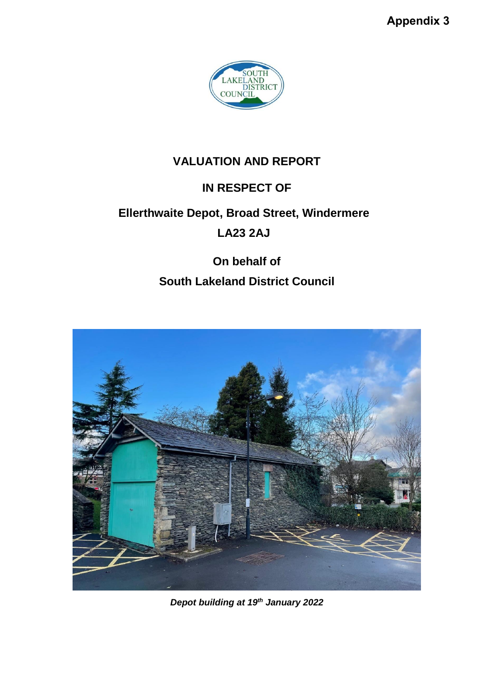**Appendix 3**



## **VALUATION AND REPORT**

## **IN RESPECT OF**

# **Ellerthwaite Depot, Broad Street, Windermere LA23 2AJ**

# **On behalf of South Lakeland District Council**



*Depot building at 19th January 2022*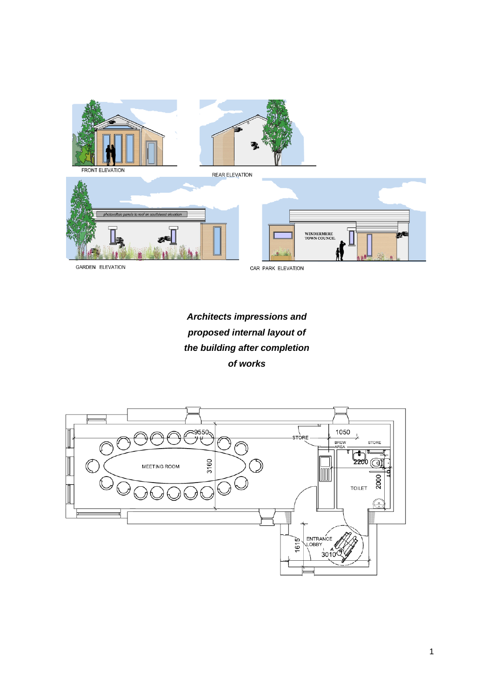

GARDEN ELEVATION

CAR PARK ELEVATION

## *Architects impressions and proposed internal layout of the building after completion of works*

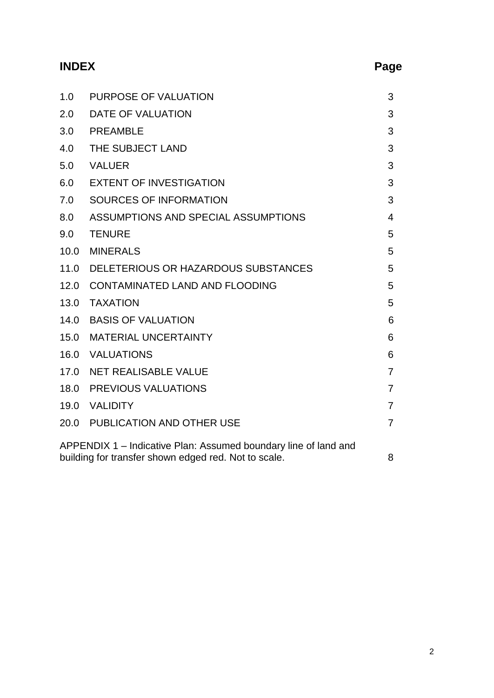# **INDEX Page**

| 1.0                                                                                                                     | PURPOSE OF VALUATION                | 3              |
|-------------------------------------------------------------------------------------------------------------------------|-------------------------------------|----------------|
| 2.0                                                                                                                     | DATE OF VALUATION                   | 3              |
| 3.0                                                                                                                     | <b>PREAMBLE</b>                     | 3              |
| 4.0                                                                                                                     | THE SUBJECT LAND                    | 3              |
| 5.0                                                                                                                     | <b>VALUER</b>                       | 3              |
| 6.0                                                                                                                     | <b>EXTENT OF INVESTIGATION</b>      | 3              |
| 7.0                                                                                                                     | SOURCES OF INFORMATION              | 3              |
| 8.0                                                                                                                     | ASSUMPTIONS AND SPECIAL ASSUMPTIONS | 4              |
| 9.0                                                                                                                     | <b>TENURE</b>                       | 5              |
| 10.0                                                                                                                    | <b>MINERALS</b>                     | 5              |
| 11.0                                                                                                                    | DELETERIOUS OR HAZARDOUS SUBSTANCES | 5              |
| 12.0                                                                                                                    | CONTAMINATED LAND AND FLOODING      | 5              |
| 13.0                                                                                                                    | <b>TAXATION</b>                     | 5              |
| 14.0                                                                                                                    | <b>BASIS OF VALUATION</b>           | 6              |
| 15.0                                                                                                                    | <b>MATERIAL UNCERTAINTY</b>         | 6              |
| 16.0                                                                                                                    | VALUATIONS                          | 6              |
| 17.0                                                                                                                    | NET REALISABLE VALUE                | 7              |
| 18.0                                                                                                                    | <b>PREVIOUS VALUATIONS</b>          | 7              |
| 19.0                                                                                                                    | VALIDITY                            | 7              |
|                                                                                                                         | 20.0 PUBLICATION AND OTHER USE      | $\overline{7}$ |
| APPENDIX 1 – Indicative Plan: Assumed boundary line of land and<br>building for transfer shown edged red. Not to scale. |                                     | 8              |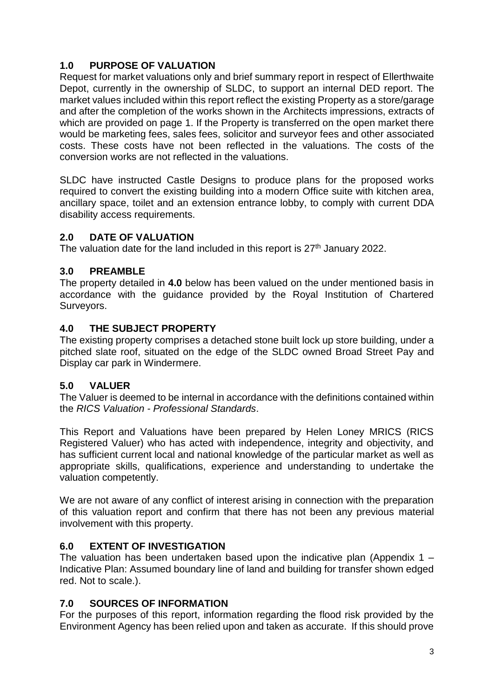#### **1.0 PURPOSE OF VALUATION**

Request for market valuations only and brief summary report in respect of Ellerthwaite Depot, currently in the ownership of SLDC, to support an internal DED report. The market values included within this report reflect the existing Property as a store/garage and after the completion of the works shown in the Architects impressions, extracts of which are provided on page 1. If the Property is transferred on the open market there would be marketing fees, sales fees, solicitor and surveyor fees and other associated costs. These costs have not been reflected in the valuations. The costs of the conversion works are not reflected in the valuations.

SLDC have instructed Castle Designs to produce plans for the proposed works required to convert the existing building into a modern Office suite with kitchen area, ancillary space, toilet and an extension entrance lobby, to comply with current DDA disability access requirements.

#### **2.0 DATE OF VALUATION**

The valuation date for the land included in this report is  $27<sup>th</sup>$  January 2022.

#### **3.0 PREAMBLE**

The property detailed in **4.0** below has been valued on the under mentioned basis in accordance with the guidance provided by the Royal Institution of Chartered Surveyors.

#### **4.0 THE SUBJECT PROPERTY**

The existing property comprises a detached stone built lock up store building, under a pitched slate roof, situated on the edge of the SLDC owned Broad Street Pay and Display car park in Windermere.

#### **5.0 VALUER**

The Valuer is deemed to be internal in accordance with the definitions contained within the *RICS Valuation - Professional Standards*.

This Report and Valuations have been prepared by Helen Loney MRICS (RICS Registered Valuer) who has acted with independence, integrity and objectivity, and has sufficient current local and national knowledge of the particular market as well as appropriate skills, qualifications, experience and understanding to undertake the valuation competently.

We are not aware of any conflict of interest arising in connection with the preparation of this valuation report and confirm that there has not been any previous material involvement with this property.

### **6.0 EXTENT OF INVESTIGATION**

The valuation has been undertaken based upon the indicative plan (Appendix  $1 -$ Indicative Plan: Assumed boundary line of land and building for transfer shown edged red. Not to scale.).

### **7.0 SOURCES OF INFORMATION**

For the purposes of this report, information regarding the flood risk provided by the Environment Agency has been relied upon and taken as accurate. If this should prove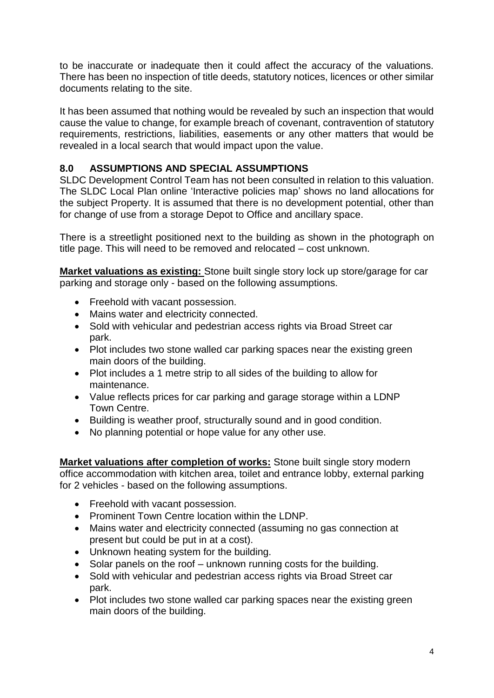to be inaccurate or inadequate then it could affect the accuracy of the valuations. There has been no inspection of title deeds, statutory notices, licences or other similar documents relating to the site.

It has been assumed that nothing would be revealed by such an inspection that would cause the value to change, for example breach of covenant, contravention of statutory requirements, restrictions, liabilities, easements or any other matters that would be revealed in a local search that would impact upon the value.

#### **8.0 ASSUMPTIONS AND SPECIAL ASSUMPTIONS**

SLDC Development Control Team has not been consulted in relation to this valuation. The SLDC Local Plan online 'Interactive policies map' shows no land allocations for the subject Property. It is assumed that there is no development potential, other than for change of use from a storage Depot to Office and ancillary space.

There is a streetlight positioned next to the building as shown in the photograph on title page. This will need to be removed and relocated – cost unknown.

**Market valuations as existing:** Stone built single story lock up store/garage for car parking and storage only - based on the following assumptions.

- Freehold with vacant possession.
- Mains water and electricity connected.
- Sold with vehicular and pedestrian access rights via Broad Street car park.
- Plot includes two stone walled car parking spaces near the existing green main doors of the building.
- Plot includes a 1 metre strip to all sides of the building to allow for maintenance.
- Value reflects prices for car parking and garage storage within a LDNP Town Centre.
- Building is weather proof, structurally sound and in good condition.
- No planning potential or hope value for any other use.

**Market valuations after completion of works:** Stone built single story modern office accommodation with kitchen area, toilet and entrance lobby, external parking for 2 vehicles - based on the following assumptions.

- Freehold with vacant possession.
- Prominent Town Centre location within the LDNP.
- Mains water and electricity connected (assuming no gas connection at present but could be put in at a cost).
- Unknown heating system for the building.
- Solar panels on the roof unknown running costs for the building.
- Sold with vehicular and pedestrian access rights via Broad Street car park.
- Plot includes two stone walled car parking spaces near the existing green main doors of the building.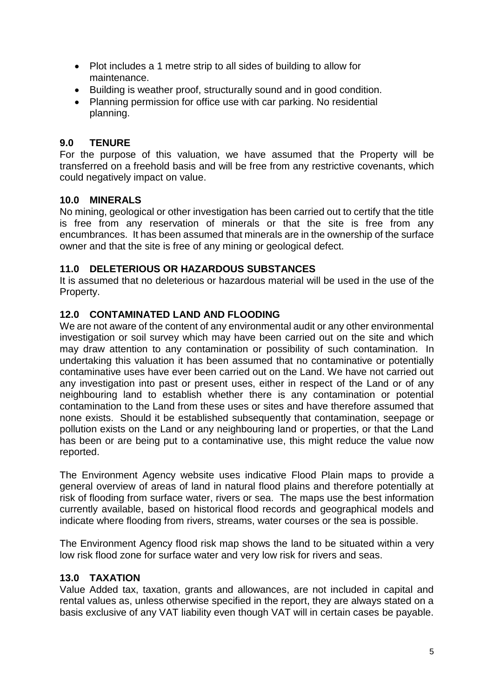- Plot includes a 1 metre strip to all sides of building to allow for maintenance.
- Building is weather proof, structurally sound and in good condition.
- Planning permission for office use with car parking. No residential planning.

#### **9.0 TENURE**

For the purpose of this valuation, we have assumed that the Property will be transferred on a freehold basis and will be free from any restrictive covenants, which could negatively impact on value.

#### **10.0 MINERALS**

No mining, geological or other investigation has been carried out to certify that the title is free from any reservation of minerals or that the site is free from any encumbrances. It has been assumed that minerals are in the ownership of the surface owner and that the site is free of any mining or geological defect.

#### **11.0 DELETERIOUS OR HAZARDOUS SUBSTANCES**

It is assumed that no deleterious or hazardous material will be used in the use of the Property.

#### **12.0 CONTAMINATED LAND AND FLOODING**

We are not aware of the content of any environmental audit or any other environmental investigation or soil survey which may have been carried out on the site and which may draw attention to any contamination or possibility of such contamination. In undertaking this valuation it has been assumed that no contaminative or potentially contaminative uses have ever been carried out on the Land. We have not carried out any investigation into past or present uses, either in respect of the Land or of any neighbouring land to establish whether there is any contamination or potential contamination to the Land from these uses or sites and have therefore assumed that none exists. Should it be established subsequently that contamination, seepage or pollution exists on the Land or any neighbouring land or properties, or that the Land has been or are being put to a contaminative use, this might reduce the value now reported.

The Environment Agency website uses indicative Flood Plain maps to provide a general overview of areas of land in natural flood plains and therefore potentially at risk of flooding from surface water, rivers or sea. The maps use the best information currently available, based on historical flood records and geographical models and indicate where flooding from rivers, streams, water courses or the sea is possible.

The Environment Agency flood risk map shows the land to be situated within a very low risk flood zone for surface water and very low risk for rivers and seas.

#### **13.0 TAXATION**

Value Added tax, taxation, grants and allowances, are not included in capital and rental values as, unless otherwise specified in the report, they are always stated on a basis exclusive of any VAT liability even though VAT will in certain cases be payable.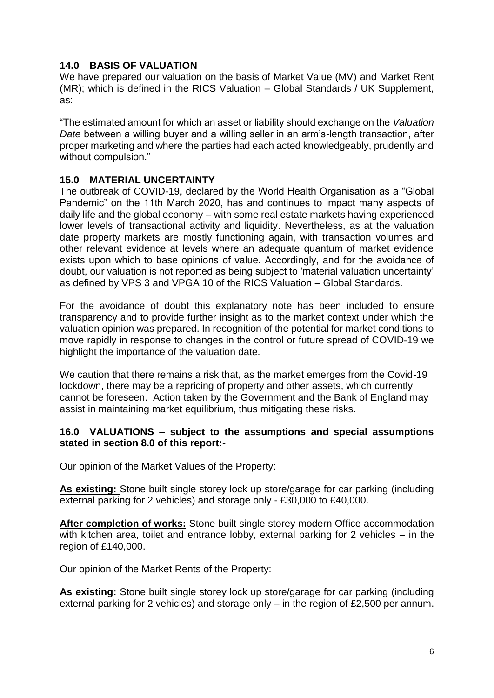#### **14.0 BASIS OF VALUATION**

We have prepared our valuation on the basis of Market Value (MV) and Market Rent (MR); which is defined in the RICS Valuation – Global Standards / UK Supplement, as:

"The estimated amount for which an asset or liability should exchange on the *Valuation Date* between a willing buyer and a willing seller in an arm's-length transaction, after proper marketing and where the parties had each acted knowledgeably, prudently and without compulsion."

#### **15.0 MATERIAL UNCERTAINTY**

The outbreak of COVID-19, declared by the World Health Organisation as a "Global Pandemic" on the 11th March 2020, has and continues to impact many aspects of daily life and the global economy – with some real estate markets having experienced lower levels of transactional activity and liquidity. Nevertheless, as at the valuation date property markets are mostly functioning again, with transaction volumes and other relevant evidence at levels where an adequate quantum of market evidence exists upon which to base opinions of value. Accordingly, and for the avoidance of doubt, our valuation is not reported as being subject to 'material valuation uncertainty' as defined by VPS 3 and VPGA 10 of the RICS Valuation – Global Standards.

For the avoidance of doubt this explanatory note has been included to ensure transparency and to provide further insight as to the market context under which the valuation opinion was prepared. In recognition of the potential for market conditions to move rapidly in response to changes in the control or future spread of COVID-19 we highlight the importance of the valuation date.

We caution that there remains a risk that, as the market emerges from the Covid-19 lockdown, there may be a repricing of property and other assets, which currently cannot be foreseen. Action taken by the Government and the Bank of England may assist in maintaining market equilibrium, thus mitigating these risks.

#### **16.0 VALUATIONS – subject to the assumptions and special assumptions stated in section 8.0 of this report:-**

Our opinion of the Market Values of the Property:

**As existing:** Stone built single storey lock up store/garage for car parking (including external parking for 2 vehicles) and storage only - £30,000 to £40,000.

**After completion of works:** Stone built single storey modern Office accommodation with kitchen area, toilet and entrance lobby, external parking for 2 vehicles – in the region of £140,000.

Our opinion of the Market Rents of the Property:

**As existing:** Stone built single storey lock up store/garage for car parking (including external parking for 2 vehicles) and storage only – in the region of £2,500 per annum.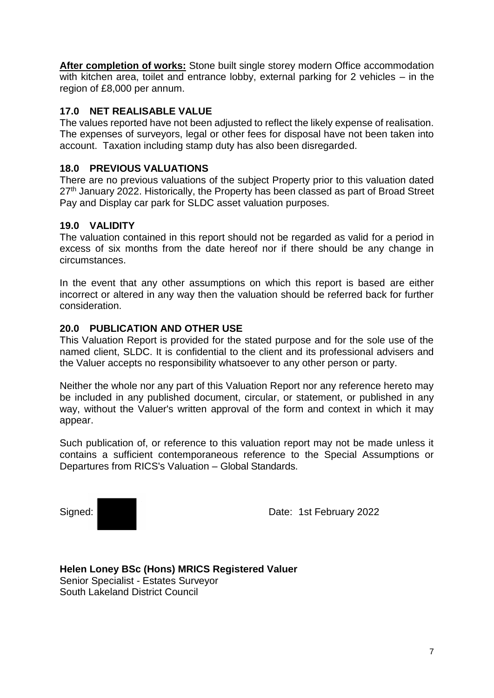**After completion of works:** Stone built single storey modern Office accommodation with kitchen area, toilet and entrance lobby, external parking for 2 vehicles – in the region of £8,000 per annum.

#### **17.0 NET REALISABLE VALUE**

The values reported have not been adjusted to reflect the likely expense of realisation. The expenses of surveyors, legal or other fees for disposal have not been taken into account. Taxation including stamp duty has also been disregarded.

#### **18.0 PREVIOUS VALUATIONS**

There are no previous valuations of the subject Property prior to this valuation dated 27<sup>th</sup> January 2022. Historically, the Property has been classed as part of Broad Street Pay and Display car park for SLDC asset valuation purposes.

#### **19.0 VALIDITY**

The valuation contained in this report should not be regarded as valid for a period in excess of six months from the date hereof nor if there should be any change in circumstances.

In the event that any other assumptions on which this report is based are either incorrect or altered in any way then the valuation should be referred back for further consideration.

#### **20.0 PUBLICATION AND OTHER USE**

This Valuation Report is provided for the stated purpose and for the sole use of the named client, SLDC. It is confidential to the client and its professional advisers and the Valuer accepts no responsibility whatsoever to any other person or party.

Neither the whole nor any part of this Valuation Report nor any reference hereto may be included in any published document, circular, or statement, or published in any way, without the Valuer's written approval of the form and context in which it may appear.

Such publication of, or reference to this valuation report may not be made unless it contains a sufficient contemporaneous reference to the Special Assumptions or Departures from RICS's Valuation – Global Standards.

Signed: Signed: New York 1st February 2022

**Helen Loney BSc (Hons) MRICS Registered Valuer** Senior Specialist - Estates Surveyor South Lakeland District Council